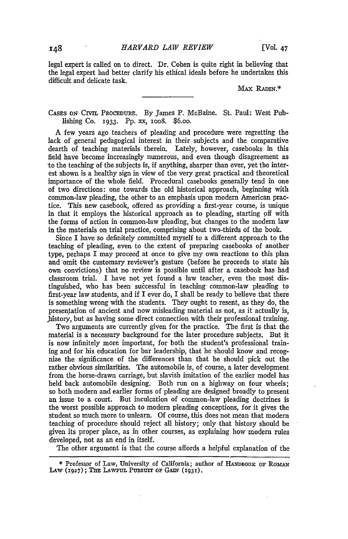legal expert is called on to direct. Dr. Cohen is quite right in believing that the legal expert had better clarify his ethical ideals before he undertakes this difficult and delicate task.

MAX RADIN.\*

CASES **ON** CiviL, PROCEDURE. By James P. McBaine. St. Paul: West Publishing Co. **1933.** Pp. xx, ioo8. \$6.oo.

A few years ago teachers of pleading and procedure were regretting the lack of general pedagogical interest in their subjects and the comparative dearth of teaching materials therein. Lately, however, casebooks in this field have become increasingly numerous, and even though disagreement as to the teaching of the subjects is, if anything, sharper than ever, yet the interest shown is a healthy sign in view of the very great practical and theoretical importance of the whole field. Procedural casebooks generally tend in one of two directions: one towards the old historical approach, beginning with common-law pleading, the other to an emphasis upon modern American practice. This new casebook, offered as providing a first-year course, is unique in that it employs the historical approach as to pleading, starting **off** with the forms of action in common-law pleading, but changes to the modem law in the materials on trial practice, comprising about two-thirds of the book.

Since I have so definitely committed myself to a different approach to the teaching of pleading, even to the extent of preparing casebooks of another type, perhaps I may proceed at once to give my own reactions to this plan and-omit the customary reviewer's gesture (before he proceeds to state his own convictions) that no review is possible until after a casebook has had classroom trial. I have not yet found a law teacher, even the most distinguished, who has been sudcessful in teaching common-law pleading to first-year law students, and if I ever do, I shall be ready to believe that there is something wrong with the students. They ought to resent, as they do, the presentation of ancient and now misleading material as not, as it actually is, history, but as having some direct connection with their professional training.

Two arguments are currently given for the practice. The first is that the material is a necessary background for the later procedure subjects. But it is now infinitely more important, for both the student's professional training and for his education for bar leadership, that he should know and recognize the significance of the differences than that he should pick out the rather obvious similarities. The automobile is, of course, a later development from the horse-drawn carriage, but slavish imitation of the earlier model has held back automobile designing. Both run on a highway on four wheels; so both modern and earlier forms of pleading are designed broadly to present an issue to a court. But inculcation of common-law pleading doctrines is the worst possible approach to modem pleading conceptions, for it gives the student so much more to unlearn. Of course, this does not mean that modem teaching of procedure should reject all history; only that history should be given its proper place, as in other courses, as explaining how modem rules developed, not as an end in itself.

The other argument is that the course affords a helpful explanation of the

**<sup>\*</sup>** Professor of Law, University of California; author of HANDBOOK or **RomAN** LAW (1927); THE LAWFUL PURSUIT OF GAIN (1931).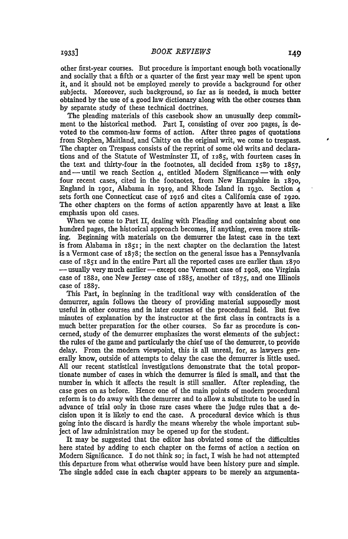other first-year courses. But procedure is important enough both vocationally and socially that a fifth or a quarter of the first year may well be spent upon it, and it should not be employed merely to provide a background for other subjects. Moreover, such background, so far as is needed, is much better obtained **by** the use of a good law dictionary along with the other courses than by separate study of these technical doctrines.

The pleading materials of this casebook show an unusually deep commitment to the historical method. Part I, consisting of over 200 pages, is devoted to the common-law forms of action. After three pages of quotations from Stephen, Maitland, and Chitty on the original writ, we come to trespass. The chapter on Trespass consists of the reprint of some old writs and declarations and of the Statute of Westminster II, of **1285,** with fourteen cases in the text and thirty-four in the footnotes, all decided from 1589 to 1857, and - until we reach Section 4, entitled Modern Significance - with only four recent cases, cited in the footnotes, from New Hampshire in 1870, England in i9oi, Alabama in **i919,** and Rhode Island in **i93o.** Section 4 sets forth one Connecticut case of 1916 and cites a California case of **1920.** The other chapters on the forms of action apparently have at least a like emphasis upon old cases.

When we come to Part II, dealing with Pleading and containing about one hundred pages, the historical approach becomes, if anything, even more striking. Beginning with materials on the demurrer the latest case in the text is from Alabama in 1851; in the next chapter on the declaration the latest is a Vermont case of  $x878$ ; the section on the general issue has a Pennsylvania case of **1851** and in the entire Part all the reported cases are earlier than **1870 -** usually very much earlier - except one Vermont case of i908, one Virginia case of 1882, one New Jersey case of 1885, another of 1875, and one Illinois case of 1887.

This Part, in beginning in the traditional way with consideration of the demurrer, again follows the theory of providing material supposedly most useful in other courses and in later courses of the procedural field. But five minutes of explanation by the instructor at the first class in contracts is a much better preparation for the other courses. So far as procedure is concered, study of the demurrer emphasizes the worst elements of the subject: the rules of the game and particularly the chief use of the demurrer, to provide delay. From the modern viewpoint, this is all unreal, for, as lawyers generally know, outside of attempts to delay the case the demurrer is little used. All our recent statistical investigations demonstrate that the total proportionate number of cases in which the demurrer is filed is small, and that the number in which it affects the result is still smaller. After repleading, the case goes on as before. Hence one of the main points of modern procedural reform is to do away with the demurrer and to allow a substitute to be used in advance of trial only in those rare cases where the judge rules that a decision upon it is likely to end the case. A procedural device which is thus going into the discard is hardly the means whereby the whole important subject of law administration may be opened up for the student.

It may be suggested that the editor has obviated some of the difficulties here stated by adding to each chapter on the forms of action a section on Modern Significance. I do not think so; in fact, I wish he had not attempted this departure from what otherwise would have been history pure and simple. The single added case in each chapter appears to be merely an argumenta $\epsilon$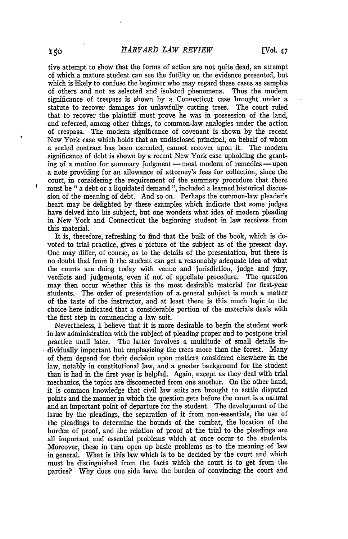tive attempt to show that the forms of action are not quite dead, an attempt of which a mature student can see the futility on the evidence presented, but which is likely to confuse the beginner who may regard these cases as samples of others and not as selected and isolated phenomena. Thus the modem significance of trespass is shown by a Connecticut case brought under a statute to recover damages for unlawfully cutting trees. The court ruled that to recover the plaintiff must prove he was in possession of the land, and referred, among other things, to common-law analogies under the action of trespass. The modern significance of covenant is shown by the recent New York case which holds that an undisclosed principal, on behalf of whom a sealed contract has been executed, cannot recover upon it. The modem significance of debt is shown by a recent New York case upholding the granting of a motion for summary judgment **-** most modem of remedies **-** upon a note providing for an allowance of attorney's fees for collection, since the court, in considering the requirement of the summary procedure that there must be "a debt or a liquidated demand ", included a learned historical discussion of the meaning of debt. And so on. Perhaps the common-law pleader's heart may be delighted by these examples which indicate that some judges have delved into his subject, but one wonders what idea of modem pleading in New York and Connecticut the beginning student in law receives from this material.

It is, therefore, refreshing to find that the bulk of the book, which is devoted to trial practice, gives a picture of the subject as of the present day. One may differ, of course, as to the details of the presentation, but there is no doubt that from it the student can get a reasonably adequate idea of what the courts are doing today with venue and jurisdiction, judge and jury, verdicts and judgments, even if not of appellate procedure. The question may then occur whether this is the most desirable material for first-year students. The order of presentation of a. general subject is much a matter of the taste of the instructor, and at least there is this much logic to the choice here indicated that a considerable portion of the materials deals with the first step in commencing a law suit.

Nevertheless, I believe that it is more desirable to begin the student work in law administration with the subject of pleading proper and to postpone trial practice until later. The latter involves a multitude of small details individually important but emphasizing the trees more than the forest. Many of them depend for their decision upon matters considered elsewhere in the law, notably in constitutional law, and a greater background for the student than is had in the first year is helpful. Again, except as they deal with trial mechanics, the topics are disconnected from one another. On the other hand, it is common knowledge that civil law suits are brought to settle disputed points and the manner in which the question gets before the court is a natural and an important point of departure for the student. The development of the issue by the pleadings, the separation of it from non-essentials, the use of the pleadings to determine the bounds of the combat, the location of the burden of proof, and the relation of proof at the trial to the pleadings are all important and essential problems which at once occur to the students. Moreover, these in turn open up basic problems as to the meaning of law in general. What is this law which is to be decided by the court and which must be distinguished from the facts which the court is to get from the parties? Why does one side have the burden of convincing the court and

 $\mathbf{I}$